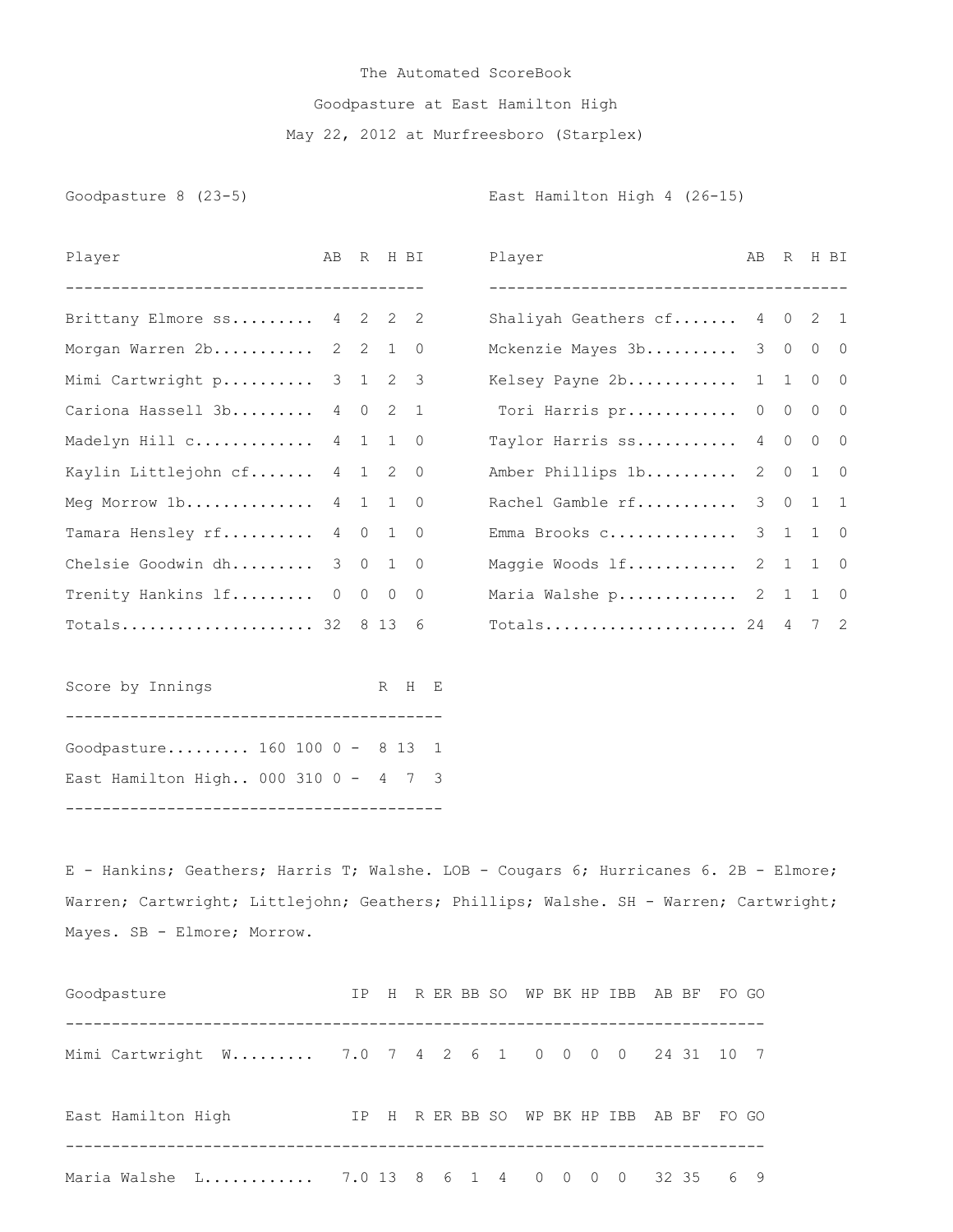## The Automated ScoreBook Goodpasture at East Hamilton High May 22, 2012 at Murfreesboro (Starplex)

Goodpasture 8 (23-5) Coodpasture 8 (23-5)

| Player                               | AB R H BI |  |       | Player                       | AB R H BI |  |  |
|--------------------------------------|-----------|--|-------|------------------------------|-----------|--|--|
|                                      |           |  |       |                              |           |  |  |
| Brittany Elmore ss 4 2 2 2           |           |  |       | Shaliyah Geathers cf 4 0 2 1 |           |  |  |
| Morgan Warren 2b 2 2 1 0             |           |  |       | Mckenzie Mayes 3b 3 0 0 0    |           |  |  |
| Mimi Cartwright p 3 1 2 3            |           |  |       | Kelsey Payne 2b 1 1 0 0      |           |  |  |
| Cariona Hassell 3b 4 0 2 1           |           |  |       | Tori Harris pr 0 0 0 0       |           |  |  |
| Madelyn Hill c 4 1 1 0               |           |  |       | Taylor Harris ss 4 0 0 0     |           |  |  |
| Kaylin Littlejohn cf 4 1 2 0         |           |  |       | Amber Phillips 1b 2 0 1 0    |           |  |  |
| Meg Morrow $1b$ 4 $1$ 1 0            |           |  |       | Rachel Gamble rf 3 0 1 1     |           |  |  |
| Tamara Hensley rf 4 0 1 0            |           |  |       | Emma Brooks c 3 1 1 0        |           |  |  |
| Chelsie Goodwin dh 3 0 1 0           |           |  |       | Maggie Woods lf 2 1 1 0      |           |  |  |
| Trenity Hankins 1f 0 0 0 0           |           |  |       | Maria Walshe p 2 1 1 0       |           |  |  |
| Totals 32 8 13 6                     |           |  |       | Totals 24 4 7 2              |           |  |  |
| Score by Innings                     |           |  | R H E |                              |           |  |  |
| Goodpasture 160 100 0 - 8 13 1       |           |  |       |                              |           |  |  |
| East Hamilton High 000 310 0 - 4 7 3 |           |  |       |                              |           |  |  |
|                                      |           |  |       |                              |           |  |  |

E - Hankins; Geathers; Harris T; Walshe. LOB - Cougars 6; Hurricanes 6. 2B - Elmore; Warren; Cartwright; Littlejohn; Geathers; Phillips; Walshe. SH - Warren; Cartwright; Mayes. SB - Elmore; Morrow.

| Goodpasture                                        | IP. |  |  |  |  | H RERBBSOWPBKHPIBB           |       | AB BF FO GO |    |
|----------------------------------------------------|-----|--|--|--|--|------------------------------|-------|-------------|----|
| Mimi Cartwright W 7.0 7 4 2 6 1 0 0 0 0 24 31 10 7 |     |  |  |  |  |                              |       |             |    |
| East Hamilton High                                 |     |  |  |  |  | IP H R ER BB SO WP BK HP IBB | AB BF | FO GO       |    |
| Maria Walshe L 7.0 13 8 6 1 4 0 0 0 0              |     |  |  |  |  |                              | 32 35 |             | 69 |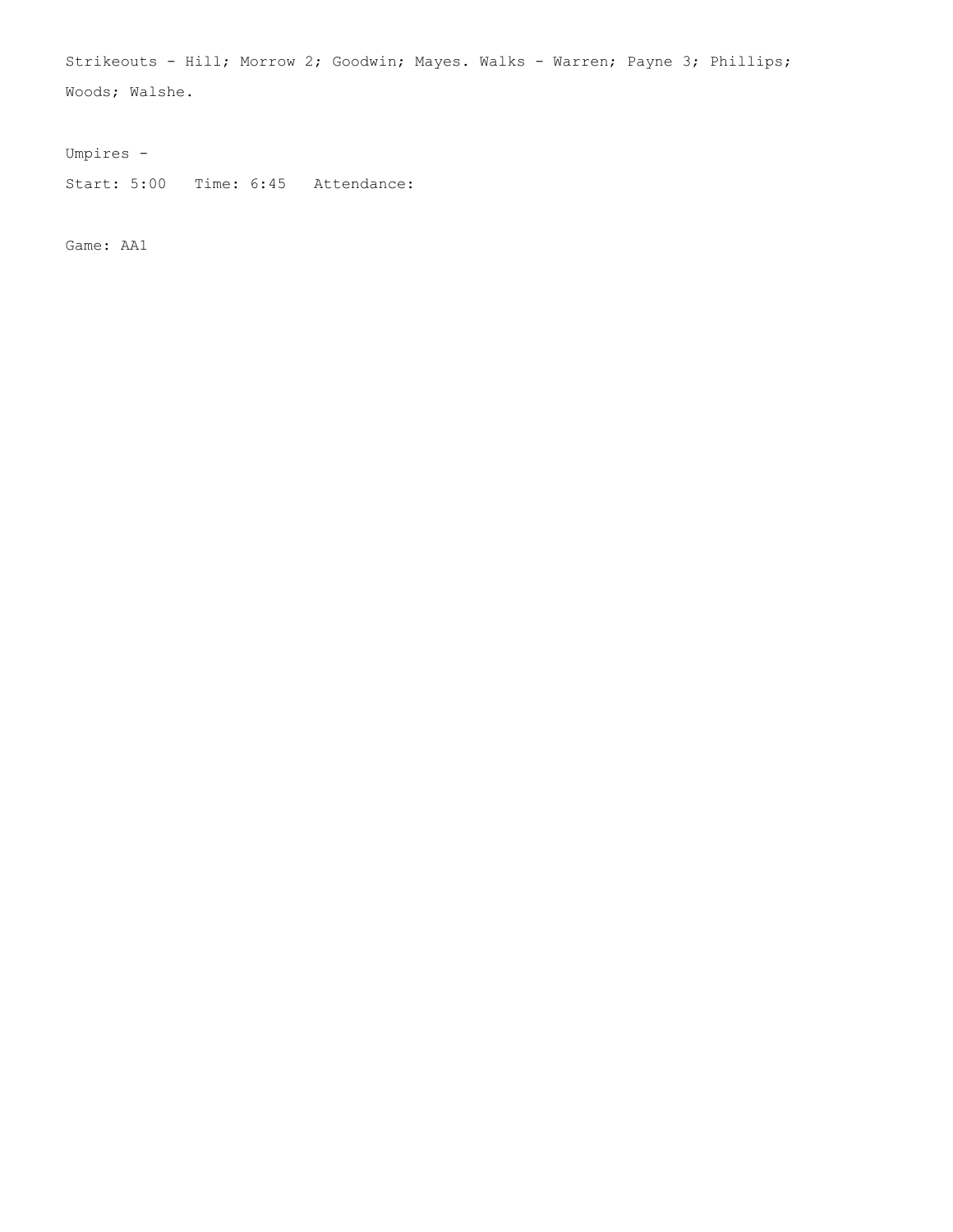Strikeouts - Hill; Morrow 2; Goodwin; Mayes. Walks - Warren; Payne 3; Phillips; Woods; Walshe.

Umpires -

Start: 5:00 Time: 6:45 Attendance:

Game: AA1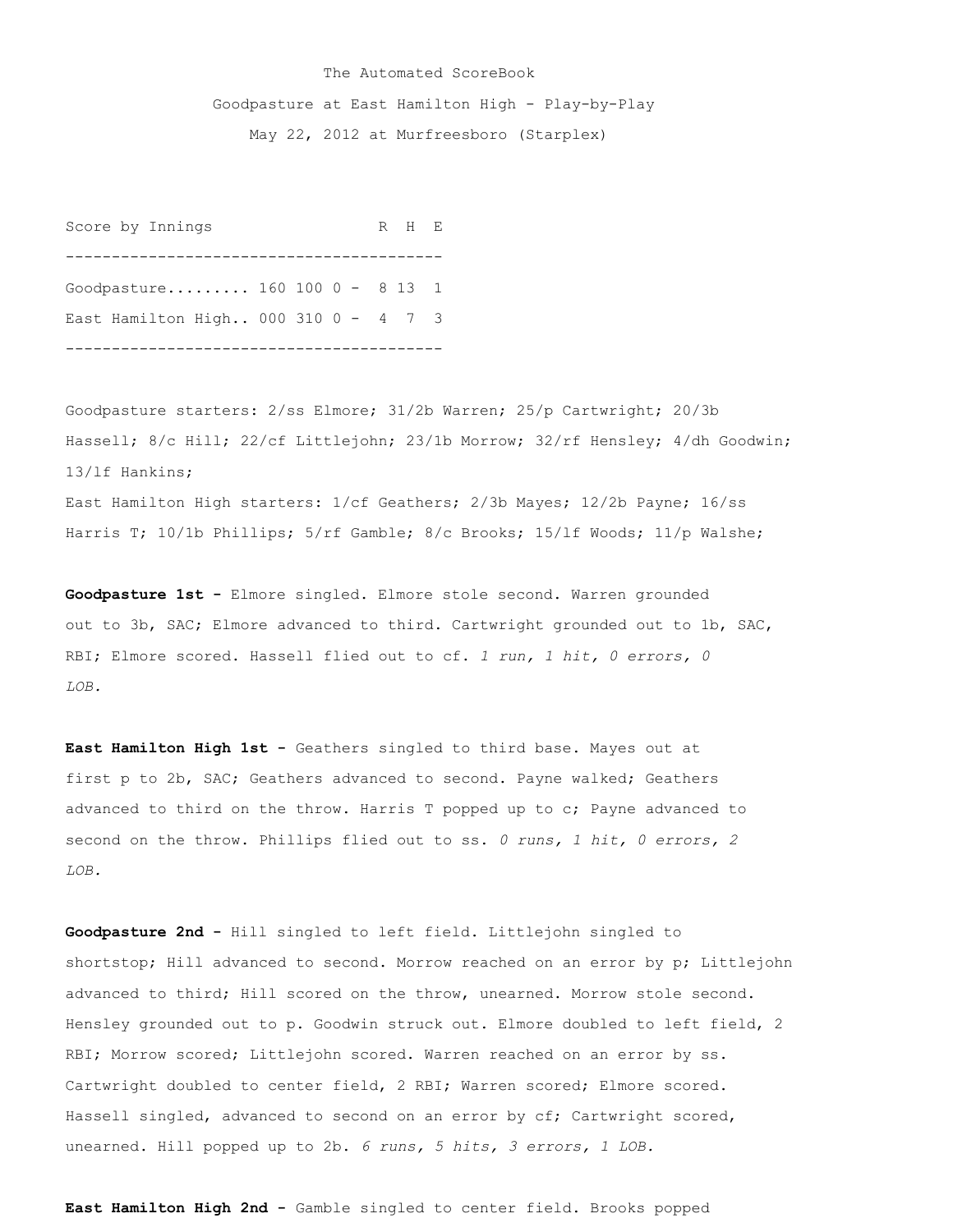## The Automated ScoreBook

Goodpasture at East Hamilton High - Play-by-Play

May 22, 2012 at Murfreesboro (Starplex)

Score by Innings R H E ----------------------------------------- Goodpasture......... 160 100 0 - 8 13 1 East Hamilton High.. 000 310 0 - 4 7 3 -----------------------------------------

Goodpasture starters: 2/ss Elmore; 31/2b Warren; 25/p Cartwright; 20/3b Hassell; 8/c Hill; 22/cf Littlejohn; 23/1b Morrow; 32/rf Hensley; 4/dh Goodwin; 13/lf Hankins; East Hamilton High starters: 1/cf Geathers; 2/3b Mayes; 12/2b Payne; 16/ss

Harris T; 10/1b Phillips; 5/rf Gamble; 8/c Brooks; 15/1f Woods; 11/p Walshe;

**Goodpasture 1st -** Elmore singled. Elmore stole second. Warren grounded out to 3b, SAC; Elmore advanced to third. Cartwright grounded out to 1b, SAC, RBI; Elmore scored. Hassell flied out to cf. *1 run, 1 hit, 0 errors, 0 LOB.*

**East Hamilton High 1st -** Geathers singled to third base. Mayes out at first p to 2b, SAC; Geathers advanced to second. Payne walked; Geathers advanced to third on the throw. Harris T popped up to c; Payne advanced to second on the throw. Phillips flied out to ss. *0 runs, 1 hit, 0 errors, 2 LOB.*

**Goodpasture 2nd -** Hill singled to left field. Littlejohn singled to shortstop; Hill advanced to second. Morrow reached on an error by p; Littlejohn advanced to third; Hill scored on the throw, unearned. Morrow stole second. Hensley grounded out to p. Goodwin struck out. Elmore doubled to left field, 2 RBI; Morrow scored; Littlejohn scored. Warren reached on an error by ss. Cartwright doubled to center field, 2 RBI; Warren scored; Elmore scored. Hassell singled, advanced to second on an error by cf; Cartwright scored, unearned. Hill popped up to 2b. *6 runs, 5 hits, 3 errors, 1 LOB.*

**East Hamilton High 2nd -** Gamble singled to center field. Brooks popped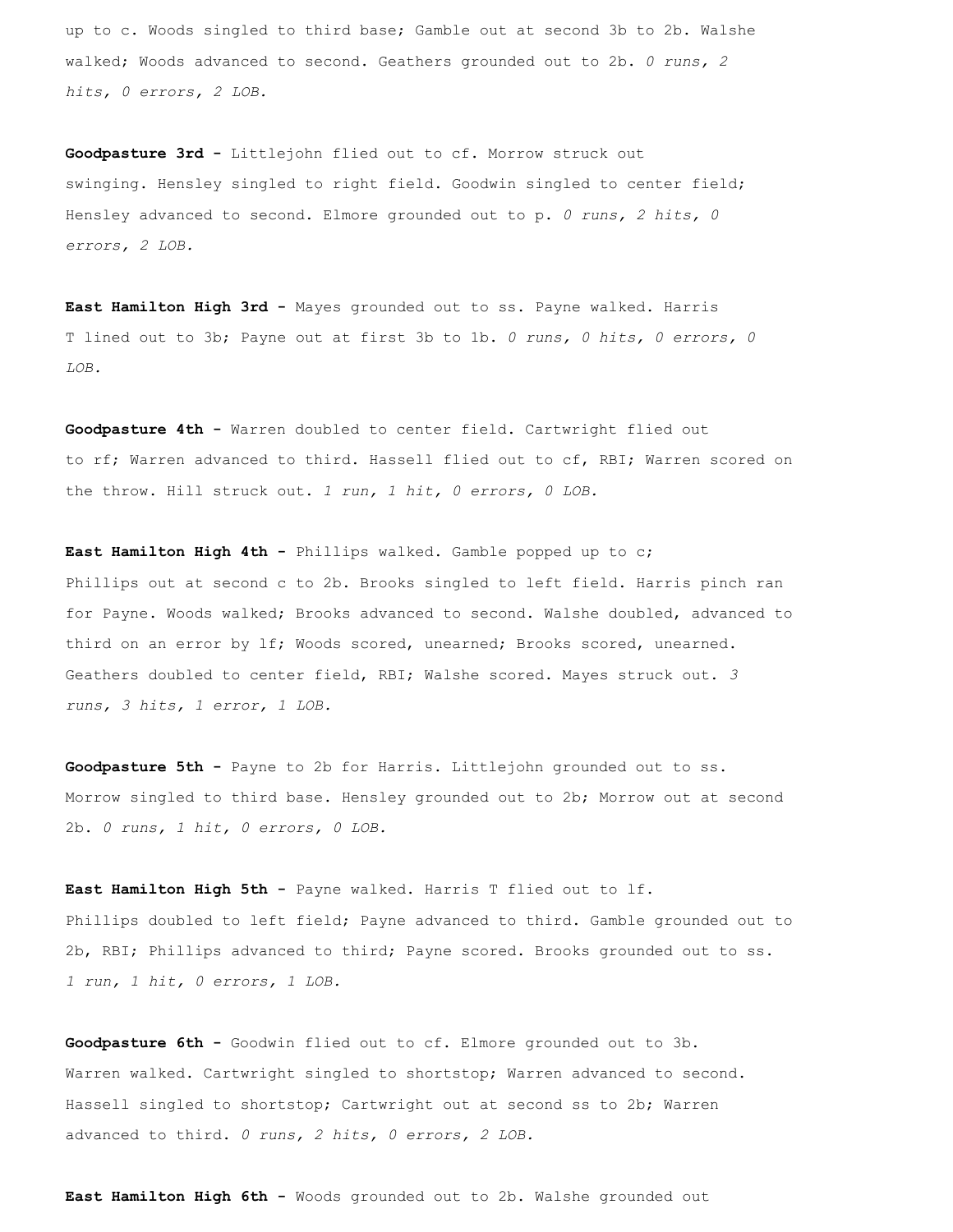up to c. Woods singled to third base; Gamble out at second 3b to 2b. Walshe walked; Woods advanced to second. Geathers grounded out to 2b. *0 runs, 2 hits, 0 errors, 2 LOB.*

**Goodpasture 3rd -** Littlejohn flied out to cf. Morrow struck out swinging. Hensley singled to right field. Goodwin singled to center field; Hensley advanced to second. Elmore grounded out to p. *0 runs, 2 hits, 0 errors, 2 LOB.*

**East Hamilton High 3rd -** Mayes grounded out to ss. Payne walked. Harris T lined out to 3b; Payne out at first 3b to 1b. *0 runs, 0 hits, 0 errors, 0 LOB.*

**Goodpasture 4th -** Warren doubled to center field. Cartwright flied out to rf; Warren advanced to third. Hassell flied out to cf, RBI; Warren scored on the throw. Hill struck out. *1 run, 1 hit, 0 errors, 0 LOB.*

**East Hamilton High 4th -** Phillips walked. Gamble popped up to c; Phillips out at second c to 2b. Brooks singled to left field. Harris pinch ran for Payne. Woods walked; Brooks advanced to second. Walshe doubled, advanced to third on an error by lf; Woods scored, unearned; Brooks scored, unearned. Geathers doubled to center field, RBI; Walshe scored. Mayes struck out. *3 runs, 3 hits, 1 error, 1 LOB.*

**Goodpasture 5th -** Payne to 2b for Harris. Littlejohn grounded out to ss. Morrow singled to third base. Hensley grounded out to 2b; Morrow out at second 2b. *0 runs, 1 hit, 0 errors, 0 LOB.*

**East Hamilton High 5th -** Payne walked. Harris T flied out to lf. Phillips doubled to left field; Payne advanced to third. Gamble grounded out to 2b, RBI; Phillips advanced to third; Payne scored. Brooks grounded out to ss. *1 run, 1 hit, 0 errors, 1 LOB.*

**Goodpasture 6th -** Goodwin flied out to cf. Elmore grounded out to 3b. Warren walked. Cartwright singled to shortstop; Warren advanced to second. Hassell singled to shortstop; Cartwright out at second ss to 2b; Warren advanced to third. *0 runs, 2 hits, 0 errors, 2 LOB.*

**East Hamilton High 6th -** Woods grounded out to 2b. Walshe grounded out